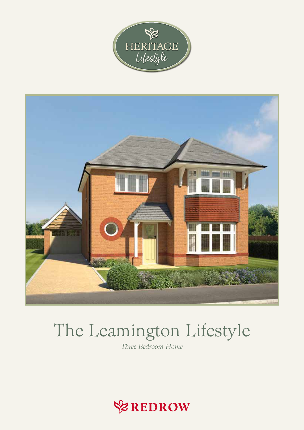



# The Leamington Lifestyle

Three Bedroom Home